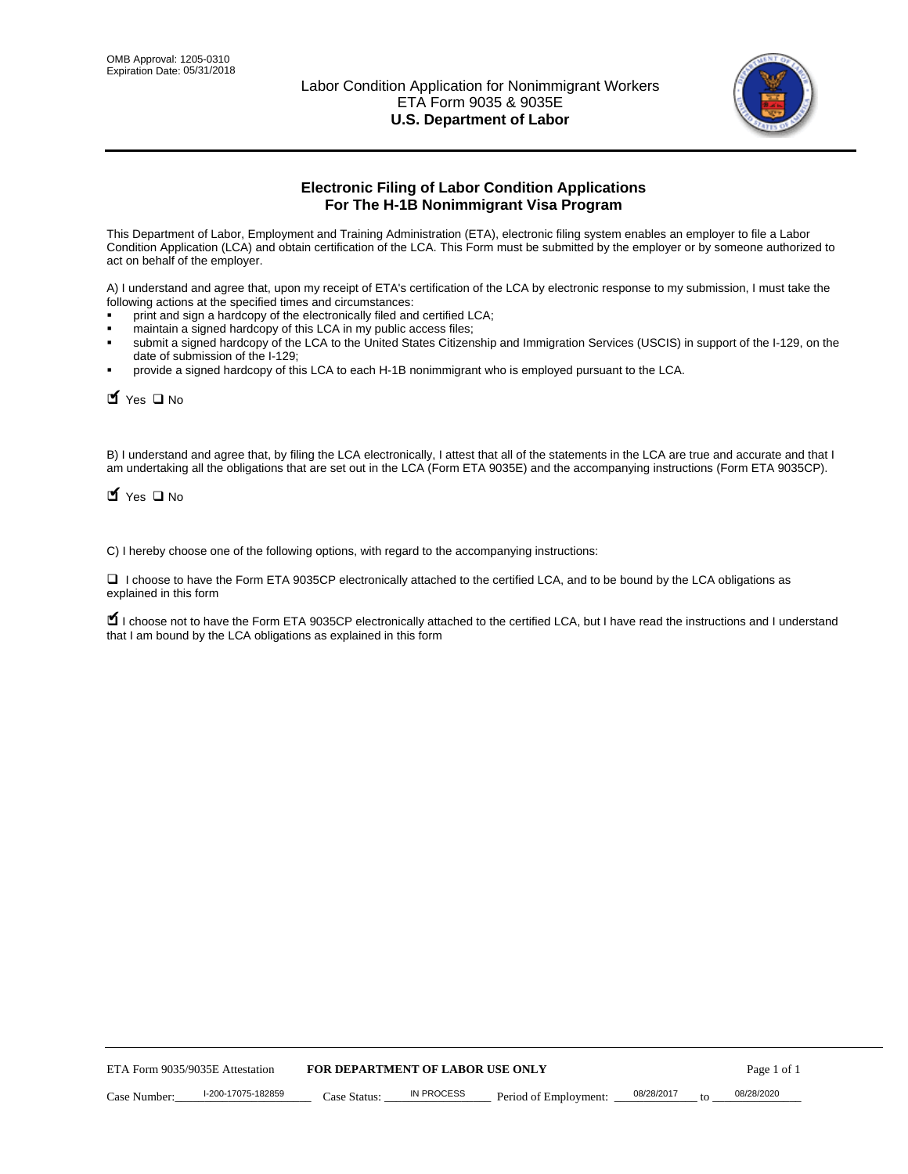

# **Electronic Filing of Labor Condition Applications For The H-1B Nonimmigrant Visa Program**

This Department of Labor, Employment and Training Administration (ETA), electronic filing system enables an employer to file a Labor Condition Application (LCA) and obtain certification of the LCA. This Form must be submitted by the employer or by someone authorized to act on behalf of the employer.

A) I understand and agree that, upon my receipt of ETA's certification of the LCA by electronic response to my submission, I must take the following actions at the specified times and circumstances:

- print and sign a hardcopy of the electronically filed and certified LCA;
- maintain a signed hardcopy of this LCA in my public access files;
- submit a signed hardcopy of the LCA to the United States Citizenship and Immigration Services (USCIS) in support of the I-129, on the date of submission of the I-129;
- provide a signed hardcopy of this LCA to each H-1B nonimmigrant who is employed pursuant to the LCA.

| Yes O No                                                                                                                                                                                                                                                                                                               |                                  |                   |                       |                  |             |
|------------------------------------------------------------------------------------------------------------------------------------------------------------------------------------------------------------------------------------------------------------------------------------------------------------------------|----------------------------------|-------------------|-----------------------|------------------|-------------|
| B) I understand and agree that, by filing the LCA electronically, I attest that all of the statements in the LCA are true and accurate and th<br>am undertaking all the obligations that are set out in the LCA (Form ETA 9035E) and the accompanying instructions (Form ETA 9035CF<br>$\blacksquare$ Yes $\square$ No |                                  |                   |                       |                  |             |
| C) I hereby choose one of the following options, with regard to the accompanying instructions:                                                                                                                                                                                                                         |                                  |                   |                       |                  |             |
| □ I choose to have the Form ETA 9035CP electronically attached to the certified LCA, and to be bound by the LCA obligations as<br>explained in this form                                                                                                                                                               |                                  |                   |                       |                  |             |
| I choose not to have the Form ETA 9035CP electronically attached to the certified LCA, but I have read the instructions and I unders<br>that I am bound by the LCA obligations as explained in this form                                                                                                               |                                  |                   |                       |                  |             |
|                                                                                                                                                                                                                                                                                                                        |                                  |                   |                       |                  |             |
|                                                                                                                                                                                                                                                                                                                        |                                  |                   |                       |                  |             |
|                                                                                                                                                                                                                                                                                                                        |                                  |                   |                       |                  |             |
|                                                                                                                                                                                                                                                                                                                        |                                  |                   |                       |                  |             |
|                                                                                                                                                                                                                                                                                                                        |                                  |                   |                       |                  |             |
|                                                                                                                                                                                                                                                                                                                        |                                  |                   |                       |                  |             |
|                                                                                                                                                                                                                                                                                                                        |                                  |                   |                       |                  |             |
|                                                                                                                                                                                                                                                                                                                        |                                  |                   |                       |                  |             |
|                                                                                                                                                                                                                                                                                                                        |                                  |                   |                       |                  |             |
|                                                                                                                                                                                                                                                                                                                        |                                  |                   |                       |                  |             |
| ETA Form 9035/9035E Attestation                                                                                                                                                                                                                                                                                        | FOR DEPARTMENT OF LABOR USE ONLY |                   |                       |                  | Page 1 of 1 |
| I-200-17075-182859<br>Case Number:                                                                                                                                                                                                                                                                                     | Case Status:                     | <b>IN PROCESS</b> | Period of Employment: | 08/28/2017<br>to | 08/28/2020  |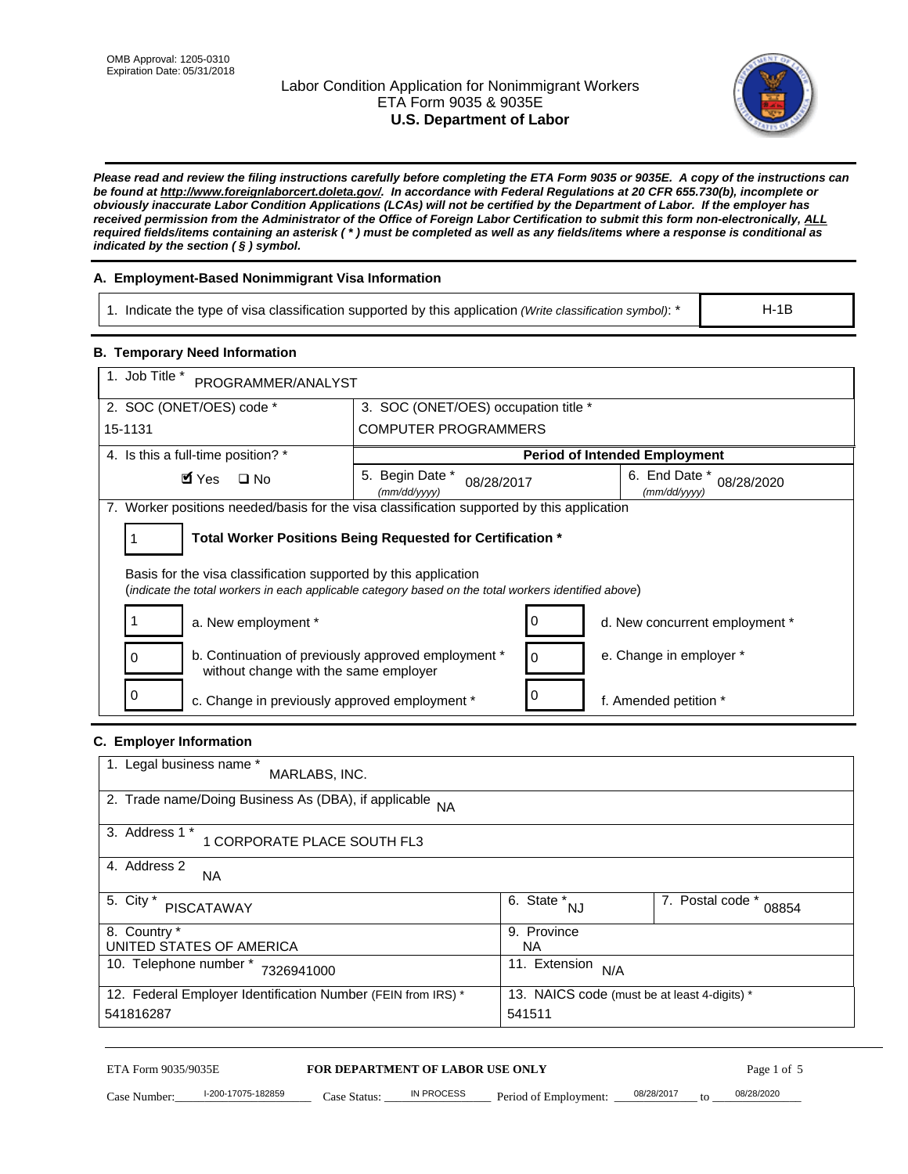# Labor Condition Application for Nonimmigrant Workers ETA Form 9035 & 9035E **U.S. Department of Labor**



*Please read and review the filing instructions carefully before completing the ETA Form 9035 or 9035E. A copy of the instructions can be found at http://www.foreignlaborcert.doleta.gov/. In accordance with Federal Regulations at 20 CFR 655.730(b), incomplete or obviously inaccurate Labor Condition Applications (LCAs) will not be certified by the Department of Labor. If the employer has received permission from the Administrator of the Office of Foreign Labor Certification to submit this form non-electronically, ALL required fields/items containing an asterisk ( \* ) must be completed as well as any fields/items where a response is conditional as indicated by the section ( § ) symbol.* 

# **A. Employment-Based Nonimmigrant Visa Information**

1. Indicate the type of visa classification supported by this application *(Write classification symbol)*: \*

### **B. Temporary Need Information**

| 3. SOC (ONET/OES) occupation title *                                                                 |  |  |
|------------------------------------------------------------------------------------------------------|--|--|
|                                                                                                      |  |  |
|                                                                                                      |  |  |
|                                                                                                      |  |  |
| <b>COMPUTER PROGRAMMERS</b>                                                                          |  |  |
| <b>Period of Intended Employment</b>                                                                 |  |  |
| 6. End Date *<br>08/28/2017<br>08/28/2020<br>(mm/dd/yyyy)                                            |  |  |
| 7. Worker positions needed/basis for the visa classification supported by this application           |  |  |
| Total Worker Positions Being Requested for Certification *                                           |  |  |
| (indicate the total workers in each applicable category based on the total workers identified above) |  |  |
| 0<br>d. New concurrent employment *                                                                  |  |  |
| e. Change in employer *<br>0                                                                         |  |  |
| 0<br>f. Amended petition *                                                                           |  |  |
|                                                                                                      |  |  |
|                                                                                                      |  |  |
|                                                                                                      |  |  |
|                                                                                                      |  |  |
|                                                                                                      |  |  |
| $\overline{6. \quad \text{State}}^*_{\quad NJ}$<br>7. Postal code *<br>08854                         |  |  |
| 9. Province<br><b>NA</b>                                                                             |  |  |
| 11. Extension $N/A$                                                                                  |  |  |
| 13. NAICS code (must be at least 4-digits) *<br>541511                                               |  |  |
|                                                                                                      |  |  |
|                                                                                                      |  |  |

# **C. Employer Information**

| 1. Legal business name *<br>MARLABS, INC.                                                                    |                         |                           |  |
|--------------------------------------------------------------------------------------------------------------|-------------------------|---------------------------|--|
| 2. Trade name/Doing Business As (DBA), if applicable NA                                                      |                         |                           |  |
| 3. Address 1 *<br>1 CORPORATE PLACE SOUTH FL3                                                                |                         |                           |  |
| 4. Address 2<br><b>NA</b>                                                                                    |                         |                           |  |
| 5. City *<br><b>PISCATAWAY</b>                                                                               | 6. State *<br><b>NJ</b> | 7. Postal code *<br>08854 |  |
| 8. Country *                                                                                                 | 9. Province             |                           |  |
| UNITED STATES OF AMERICA                                                                                     | NA.                     |                           |  |
| 10. Telephone number *<br>7326941000                                                                         | 11. Extension<br>N/A    |                           |  |
| 12. Federal Employer Identification Number (FEIN from IRS) *<br>13. NAICS code (must be at least 4-digits) * |                         |                           |  |
| 541816287                                                                                                    | 541511                  |                           |  |

# ETA Form 9035/9035E **FOR DEPARTMENT OF LABOR USE ONLY** Page 1 of 5<br>Case Number: 1-200-17075-182859 Case Status: IN PROCESS Period of Employment: 08/28/2017 to 08/28/2020

Case Number: 1-200-17075-182859 Case Status: IN PROCESS Period of Employment: 08/28/2017 to 08/28/2020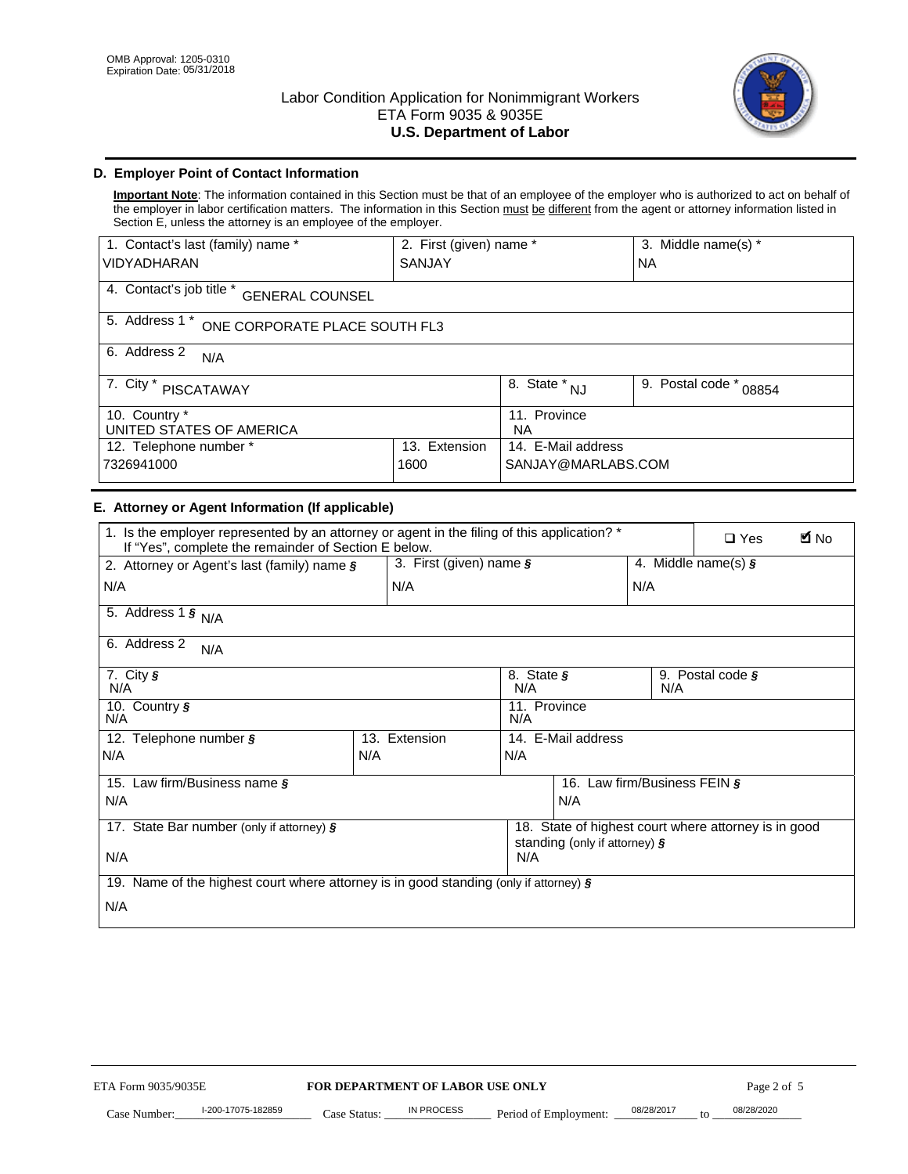

# **D. Employer Point of Contact Information**

**Important Note**: The information contained in this Section must be that of an employee of the employer who is authorized to act on behalf of the employer in labor certification matters. The information in this Section must be different from the agent or attorney information listed in Section E, unless the attorney is an employee of the employer.

| 1. Contact's last (family) name *                  | 2. First (given) name * |                                  | 3. Middle name(s) *       |  |
|----------------------------------------------------|-------------------------|----------------------------------|---------------------------|--|
| <b>VIDYADHARAN</b>                                 | <b>SANJAY</b>           |                                  | <b>NA</b>                 |  |
| 4. Contact's job title *<br><b>GENERAL COUNSEL</b> |                         |                                  |                           |  |
| 5. Address 1 *<br>ONE CORPORATE PLACE SOUTH FL3    |                         |                                  |                           |  |
| 6. Address 2<br>N/A                                |                         |                                  |                           |  |
| 7. City *<br><b>PISCATAWAY</b>                     |                         | $\overline{8}$ . State $*$<br>NJ | 9. Postal code *<br>08854 |  |
| 10. Country *<br>UNITED STATES OF AMERICA          |                         | 11. Province<br><b>NA</b>        |                           |  |
| 12. Telephone number *<br>Extension<br>13.         |                         | 14. E-Mail address               |                           |  |
| 7326941000<br>1600                                 |                         | SANJAY@MARLABS.COM               |                           |  |

# **E. Attorney or Agent Information (If applicable)**

| VIDYADHARAN                                                                                                                                         | SANJAY                           |                                           |                                          | <b>NA</b>                 |                                                      |                        |
|-----------------------------------------------------------------------------------------------------------------------------------------------------|----------------------------------|-------------------------------------------|------------------------------------------|---------------------------|------------------------------------------------------|------------------------|
| 4. Contact's job title * GENERAL COUNSEL                                                                                                            |                                  |                                           |                                          |                           |                                                      |                        |
| 5. Address 1 * ONE CORPORATE PLACE SOUTH FL3                                                                                                        |                                  |                                           |                                          |                           |                                                      |                        |
| 6. Address 2<br>N/A                                                                                                                                 |                                  |                                           |                                          |                           |                                                      |                        |
| 7. City * PISCATAWAY                                                                                                                                |                                  | $\overline{\phantom{a}}$ 8. State $^*$ NJ |                                          | 9. Postal code *<br>08854 |                                                      |                        |
| 10. Country *<br>UNITED STATES OF AMERICA                                                                                                           |                                  | 11. Province<br><b>NA</b>                 |                                          |                           |                                                      |                        |
| 12. Telephone number *<br>7326941000                                                                                                                | 13. Extension<br>1600            |                                           | 14. E-Mail address<br>SANJAY@MARLABS.COM |                           |                                                      |                        |
| E. Attorney or Agent Information (If applicable)                                                                                                    |                                  |                                           |                                          |                           |                                                      |                        |
| 1. Is the employer represented by an attorney or agent in the filing of this application? *<br>If "Yes", complete the remainder of Section E below. |                                  |                                           |                                          |                           | $\square$ Yes                                        | <b>M</b> <sub>No</sub> |
| 2. Attorney or Agent's last (family) name §                                                                                                         | 3. First (given) name §          |                                           |                                          |                           | 4. Middle name(s) $\sqrt{s}$                         |                        |
| N/A                                                                                                                                                 | N/A                              |                                           |                                          | N/A                       |                                                      |                        |
| 5. Address 1 $\frac{1}{9}$ N/A                                                                                                                      |                                  |                                           |                                          |                           |                                                      |                        |
| 6. Address 2<br>N/A                                                                                                                                 |                                  |                                           |                                          |                           |                                                      |                        |
| 7. City §<br>N/A                                                                                                                                    |                                  | N/A                                       | 8. State §<br>9. Postal code §<br>N/A    |                           |                                                      |                        |
| 10. Country §<br>N/A                                                                                                                                |                                  | 11. Province<br>N/A                       |                                          |                           |                                                      |                        |
| 12. Telephone number §                                                                                                                              | 13. Extension                    | 14. E-Mail address                        |                                          |                           |                                                      |                        |
| N/A                                                                                                                                                 | N/A                              | N/A                                       |                                          |                           |                                                      |                        |
| 15. Law firm/Business name §                                                                                                                        |                                  |                                           | 16. Law firm/Business FEIN §             |                           |                                                      |                        |
| N/A                                                                                                                                                 |                                  |                                           | N/A                                      |                           |                                                      |                        |
| 17. State Bar number (only if attorney) §                                                                                                           |                                  |                                           | standing (only if attorney) §            |                           | 18. State of highest court where attorney is in good |                        |
| N/A                                                                                                                                                 |                                  | N/A                                       |                                          |                           |                                                      |                        |
| 19. Name of the highest court where attorney is in good standing (only if attorney) §                                                               |                                  |                                           |                                          |                           |                                                      |                        |
| N/A                                                                                                                                                 |                                  |                                           |                                          |                           |                                                      |                        |
|                                                                                                                                                     |                                  |                                           |                                          |                           |                                                      |                        |
|                                                                                                                                                     |                                  |                                           |                                          |                           |                                                      |                        |
|                                                                                                                                                     |                                  |                                           |                                          |                           |                                                      |                        |
|                                                                                                                                                     |                                  |                                           |                                          |                           |                                                      |                        |
|                                                                                                                                                     |                                  |                                           |                                          |                           |                                                      |                        |
|                                                                                                                                                     |                                  |                                           |                                          |                           |                                                      |                        |
|                                                                                                                                                     |                                  |                                           |                                          |                           |                                                      |                        |
| ETA Form 9035/9035E                                                                                                                                 | FOR DEPARTMENT OF LABOR USE ONLY |                                           |                                          |                           | Page 2 of 5                                          |                        |
| I-200-17075-182859                                                                                                                                  | IN PROCESS                       |                                           |                                          | 08/28/2017                | 08/28/2020                                           |                        |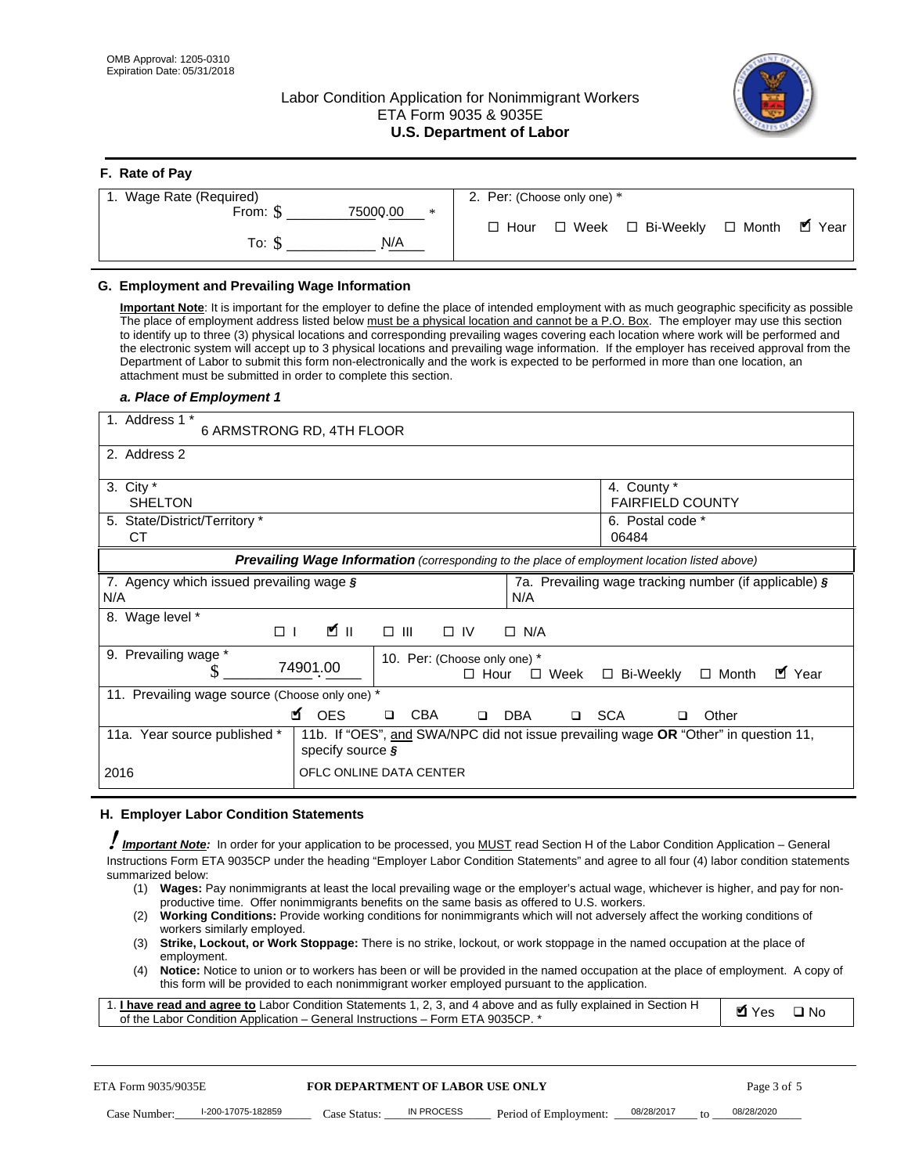**F. Rate of Pay** 

# Labor Condition Application for Nonimmigrant Workers ETA Form 9035 & 9035E **U.S. Department of Labor**



| <b>F.</b> Rate of Pay          |                                                  |
|--------------------------------|--------------------------------------------------|
| 1. Wage Rate (Required)        | 2. Per: (Choose only one) *                      |
| 75000.00<br>From: \$<br>$\ast$ | □ Week □ Bi-Weekly □ Month ■ Year<br>$\Box$ Hour |
| N/A<br>To: \$                  |                                                  |

## **G. Employment and Prevailing Wage Information**

#### *a. Place of Employment 1*

| From: \$                                                                                                                                                                                                                                                                                                                                                                                                                                                                                                                                                                                                                                                                                                                                                                                                                                                              | 75000.00<br>$\ast$<br>To: $\S$<br>N/A                                                                                                                                                                                                                                                                                                                                                                                                                                                                                                                                                                                                                                                                                                | $\Box$ Hour                                                                           | $\Box$ Week $\Box$ Bi-Weekly                                        | $\blacksquare$ Year<br>$\Box$ Month |
|-----------------------------------------------------------------------------------------------------------------------------------------------------------------------------------------------------------------------------------------------------------------------------------------------------------------------------------------------------------------------------------------------------------------------------------------------------------------------------------------------------------------------------------------------------------------------------------------------------------------------------------------------------------------------------------------------------------------------------------------------------------------------------------------------------------------------------------------------------------------------|--------------------------------------------------------------------------------------------------------------------------------------------------------------------------------------------------------------------------------------------------------------------------------------------------------------------------------------------------------------------------------------------------------------------------------------------------------------------------------------------------------------------------------------------------------------------------------------------------------------------------------------------------------------------------------------------------------------------------------------|---------------------------------------------------------------------------------------|---------------------------------------------------------------------|-------------------------------------|
| G. Employment and Prevailing Wage Information<br>Important Note: It is important for the employer to define the place of intended employment with as much geographic specificity as possible<br>The place of employment address listed below must be a physical location and cannot be a P.O. Box. The employer may use this section<br>to identify up to three (3) physical locations and corresponding prevailing wages covering each location where work will be performed and<br>the electronic system will accept up to 3 physical locations and prevailing wage information. If the employer has received approval from the<br>Department of Labor to submit this form non-electronically and the work is expected to be performed in more than one location, an<br>attachment must be submitted in order to complete this section.<br>a. Place of Employment 1 |                                                                                                                                                                                                                                                                                                                                                                                                                                                                                                                                                                                                                                                                                                                                      |                                                                                       |                                                                     |                                     |
| 1. Address 1 *<br>2. Address 2                                                                                                                                                                                                                                                                                                                                                                                                                                                                                                                                                                                                                                                                                                                                                                                                                                        | 6 ARMSTRONG RD, 4TH FLOOR                                                                                                                                                                                                                                                                                                                                                                                                                                                                                                                                                                                                                                                                                                            |                                                                                       |                                                                     |                                     |
| 3. City $*$<br><b>SHELTON</b><br>5. State/District/Territory *<br><b>CT</b>                                                                                                                                                                                                                                                                                                                                                                                                                                                                                                                                                                                                                                                                                                                                                                                           |                                                                                                                                                                                                                                                                                                                                                                                                                                                                                                                                                                                                                                                                                                                                      |                                                                                       | 4. County *<br><b>FAIRFIELD COUNTY</b><br>6. Postal code *<br>06484 |                                     |
| 7. Agency which issued prevailing wage §<br>N/A                                                                                                                                                                                                                                                                                                                                                                                                                                                                                                                                                                                                                                                                                                                                                                                                                       | Prevailing Wage Information (corresponding to the place of employment location listed above)                                                                                                                                                                                                                                                                                                                                                                                                                                                                                                                                                                                                                                         | N/A                                                                                   | 7a. Prevailing wage tracking number (if applicable) §               |                                     |
| 8. Wage level *<br>$\Box$<br>9. Prevailing wage *<br>S                                                                                                                                                                                                                                                                                                                                                                                                                                                                                                                                                                                                                                                                                                                                                                                                                | <b>M</b><br>$\Box$<br>III<br>74901.00                                                                                                                                                                                                                                                                                                                                                                                                                                                                                                                                                                                                                                                                                                | $\Box$ IV<br>$\Box$ N/A<br>10. Per: (Choose only one) *<br>$\Box$ Hour<br>$\Box$ Week | □ Bi-Weekly                                                         | ■ Year<br>$\Box$ Month              |
| 11. Prevailing wage source (Choose only one) *<br>11a. Year source published *                                                                                                                                                                                                                                                                                                                                                                                                                                                                                                                                                                                                                                                                                                                                                                                        | <b>¤</b> OES<br><b>CBA</b><br>$\Box$<br>11b. If "OES", and SWA/NPC did not issue prevailing wage OR "Other" in question 11,                                                                                                                                                                                                                                                                                                                                                                                                                                                                                                                                                                                                          | □ SCA<br>DBA<br>$\Box$                                                                | □                                                                   | Other                               |
| 2016                                                                                                                                                                                                                                                                                                                                                                                                                                                                                                                                                                                                                                                                                                                                                                                                                                                                  | specify source $\boldsymbol{\S}$<br>OFLC ONLINE DATA CENTER                                                                                                                                                                                                                                                                                                                                                                                                                                                                                                                                                                                                                                                                          |                                                                                       |                                                                     |                                     |
| H. Employer Labor Condition Statements<br>Important Note: In order for your application to be processed, you MUST read Section H of the Labor Condition Application - General<br>Instructions Form ETA 9035CP under the heading "Employer Labor Condition Statements" and agree to all four (4) labor condition statements<br>summarized below:<br>(1)<br>(2)<br>workers similarly employed.<br>(3)<br>employment.<br>(4)<br>1. <i>I have read and agree to</i> Labor Condition Statements 1, 2, 3, and 4 above and as fully explained in Section H<br>of the Labor Condition Application - General Instructions - Form ETA 9035CP. *                                                                                                                                                                                                                                 | Wages: Pay nonimmigrants at least the local prevailing wage or the employer's actual wage, whichever is higher, and pay for non-<br>productive time. Offer nonimmigrants benefits on the same basis as offered to U.S. workers.<br><b>Working Conditions:</b> Provide working conditions for nonimmigrants which will not adversely affect the working conditions of<br>Strike, Lockout, or Work Stoppage: There is no strike, lockout, or work stoppage in the named occupation at the place of<br>Notice: Notice to union or to workers has been or will be provided in the named occupation at the place of employment. A copy of<br>this form will be provided to each nonimmigrant worker employed pursuant to the application. |                                                                                       |                                                                     | <b>Ø</b> Yes<br>$\square$ No        |
| ETA Form 9035/9035E<br>I-200-17075-182859                                                                                                                                                                                                                                                                                                                                                                                                                                                                                                                                                                                                                                                                                                                                                                                                                             | <b>FOR DEPARTMENT OF LABOR USE ONLY</b><br>IN PROCESS                                                                                                                                                                                                                                                                                                                                                                                                                                                                                                                                                                                                                                                                                |                                                                                       | 08/28/2017                                                          | Page 3 of 5<br>08/28/2020           |

#### **H. Employer Labor Condition Statements**

- (1) **Wages:** Pay nonimmigrants at least the local prevailing wage or the employer's actual wage, whichever is higher, and pay for nonproductive time. Offer nonimmigrants benefits on the same basis as offered to U.S. workers.
- (2) **Working Conditions:** Provide working conditions for nonimmigrants which will not adversely affect the working conditions of workers similarly employed.
- (3) **Strike, Lockout, or Work Stoppage:** There is no strike, lockout, or work stoppage in the named occupation at the place of employment.
- (4) **Notice:** Notice to union or to workers has been or will be provided in the named occupation at the place of employment. A copy of this form will be provided to each nonimmigrant worker employed pursuant to the application.

| 1. I have read and agree to Labor Condition Statements 1, 2, 3, and 4 above and as fully explained in Section H | Myes ⊡No |  |
|-----------------------------------------------------------------------------------------------------------------|----------|--|
| of the Labor Condition Application – General Instructions – Form ETA 9035CP. *                                  |          |  |

| ETA Form 9035/9035E |                    | <b>FOR DEPARTMENT OF LABOR USE ONLY</b> |            |                                      | Page 3 of 5 |  |            |
|---------------------|--------------------|-----------------------------------------|------------|--------------------------------------|-------------|--|------------|
| Case Number:        | l-200-17075-182859 | Case Status:                            | IN PROCESS | Period of Employment: ____08/28/2017 |             |  | 08/28/2020 |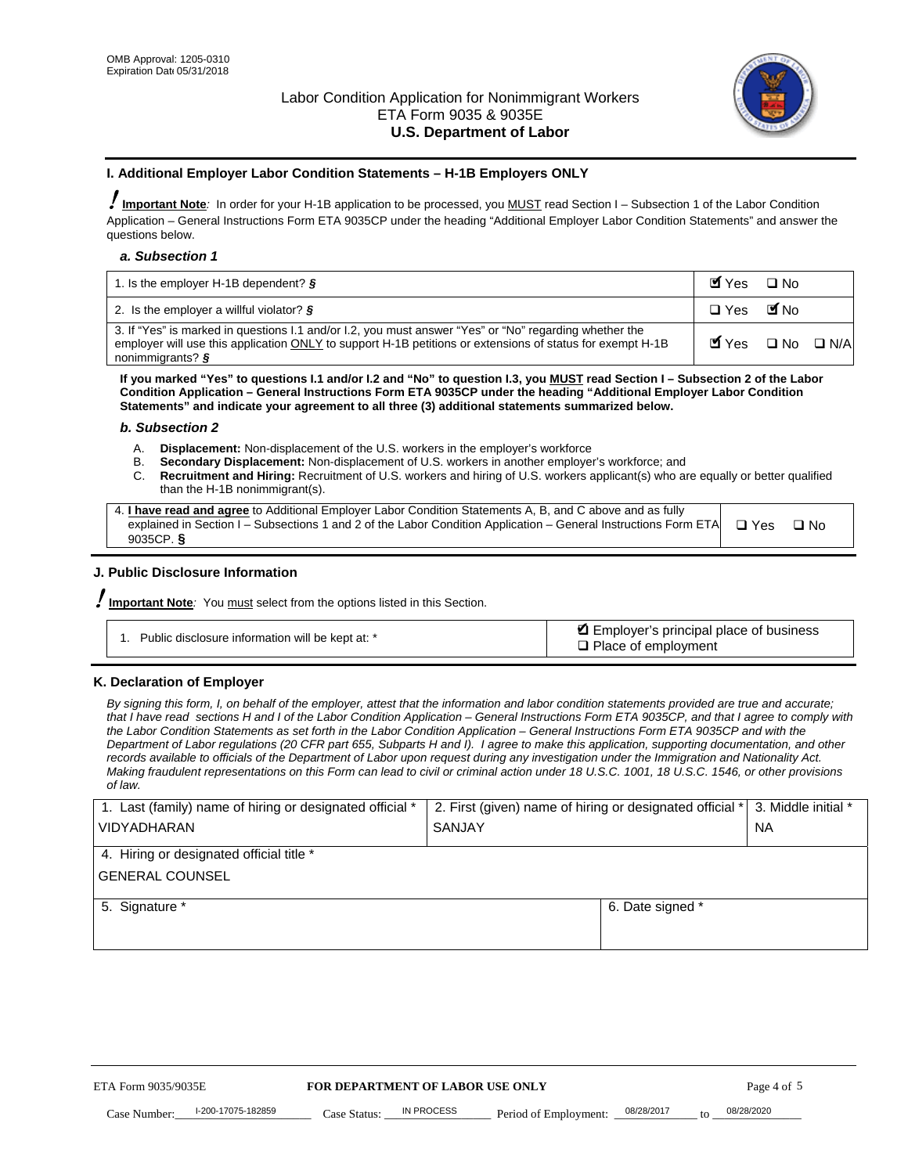

### **I. Additional Employer Labor Condition Statements – H-1B Employers ONLY**

!**Important Note***:* In order for your H-1B application to be processed, you MUST read Section I – Subsection 1 of the Labor Condition Application – General Instructions Form ETA 9035CP under the heading "Additional Employer Labor Condition Statements" and answer the questions below.

#### *a. Subsection 1*

| 1. Is the employer H-1B dependent? $\S$                                                                                                                                                                                                 | Myes                                          | $\Box$ No              |  |
|-----------------------------------------------------------------------------------------------------------------------------------------------------------------------------------------------------------------------------------------|-----------------------------------------------|------------------------|--|
| 2. Is the employer a willful violator? $\frac{1}{2}$                                                                                                                                                                                    | $\Box$ Yes                                    | <b>M</b> <sub>No</sub> |  |
| 3. If "Yes" is marked in questions 1.1 and/or 1.2, you must answer "Yes" or "No" regarding whether the<br>employer will use this application ONLY to support H-1B petitions or extensions of status for exempt H-1B<br>nonimmigrants? § | $\blacksquare$ Yes $\square$ No $\square$ N/A |                        |  |

**If you marked "Yes" to questions I.1 and/or I.2 and "No" to question I.3, you MUST read Section I – Subsection 2 of the Labor Condition Application – General Instructions Form ETA 9035CP under the heading "Additional Employer Labor Condition Statements" and indicate your agreement to all three (3) additional statements summarized below.** 

#### *b. Subsection 2*

- A. **Displacement:** Non-displacement of the U.S. workers in the employer's workforce
- B. **Secondary Displacement:** Non-displacement of U.S. workers in another employer's workforce; and
- C. **Recruitment and Hiring:** Recruitment of U.S. workers and hiring of U.S. workers applicant(s) who are equally or better qualified than the H-1B nonimmigrant(s).

| 4. I have read and agree to Additional Employer Labor Condition Statements A, B, and C above and as fully                  |      |
|----------------------------------------------------------------------------------------------------------------------------|------|
| explained in Section I – Subsections 1 and 2 of the Labor Condition Application – General Instructions Form ETA $\Box$ Yes | ∩ Nח |
| 9035CP. $\delta$                                                                                                           |      |

# **J. Public Disclosure Information**

!**Important Note***:* You must select from the options listed in this Section.

| Public disclosure information will be kept at: * | Employer's principal place of business<br>$\Box$ Place of employment |
|--------------------------------------------------|----------------------------------------------------------------------|
|--------------------------------------------------|----------------------------------------------------------------------|

#### **K. Declaration of Employer**

*By signing this form, I, on behalf of the employer, attest that the information and labor condition statements provided are true and accurate;*  that I have read sections H and I of the Labor Condition Application – General Instructions Form ETA 9035CP, and that I agree to comply with *the Labor Condition Statements as set forth in the Labor Condition Application – General Instructions Form ETA 9035CP and with the Department of Labor regulations (20 CFR part 655, Subparts H and I). I agree to make this application, supporting documentation, and other records available to officials of the Department of Labor upon request during any investigation under the Immigration and Nationality Act. Making fraudulent representations on this Form can lead to civil or criminal action under 18 U.S.C. 1001, 18 U.S.C. 1546, or other provisions of law.* 

| 1. Last (family) name of hiring or designated official * | 2. First (given) name of hiring or designated official * |                                 | 3. Middle initial * |
|----------------------------------------------------------|----------------------------------------------------------|---------------------------------|---------------------|
| <b>VIDYADHARAN</b>                                       | <b>SANJAY</b>                                            |                                 | <b>NA</b>           |
| 4. Hiring or designated official title *                 |                                                          |                                 |                     |
| <b>GENERAL COUNSEL</b>                                   |                                                          |                                 |                     |
| 5. Signature *                                           |                                                          | 6. Date signed *                |                     |
|                                                          |                                                          |                                 |                     |
|                                                          |                                                          |                                 |                     |
|                                                          |                                                          |                                 |                     |
|                                                          |                                                          |                                 |                     |
| ETA Form 9035/9035E                                      | FOR DEPARTMENT OF LABOR USE ONLY                         |                                 | Page 4 of 5         |
| I-200-17075-182859<br>Case Number<br>Case Status:        | IN PROCESS<br>Period of Employment:                      | 08/28/2017<br>$\mathsf{t} \cap$ | 08/28/2020          |